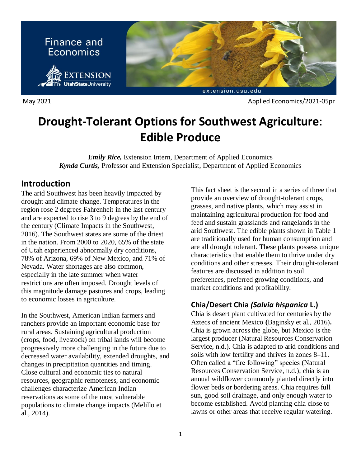

May 2021 **Applied Economics**/2021-05pr

# **Drought-Tolerant Options for Southwest Agriculture**: **Edible Produce**

*Emily Rice,* Extension Intern, Department of Applied Economics *Kynda Curtis,* Professor and Extension Specialist, Department of Applied Economics

## **Introduction**

The arid Southwest has been heavily impacted by drought and climate change. Temperatures in the region rose 2 degrees Fahrenheit in the last century and are expected to rise 3 to 9 degrees by the end of the century (Climate Impacts in the Southwest, 2016). The Southwest states are some of the driest in the nation. From 2000 to 2020, 65% of the state of Utah experienced abnormally dry conditions, 78% of Arizona, 69% of New Mexico, and 71% of Nevada. Water shortages are also common, especially in the late summer when water restrictions are often imposed. Drought levels of this magnitude damage pastures and crops, leading to economic losses in agriculture.

In the Southwest, American Indian farmers and ranchers provide an important economic base for rural areas. Sustaining agricultural production (crops, food, livestock) on tribal lands will become progressively more challenging in the future due to decreased water availability, extended droughts, and changes in precipitation quantities and timing. Close cultural and economic ties to natural resources, geographic remoteness, and economic challenges characterize American Indian reservations as some of the most vulnerable populations to climate change impacts (Melillo et al., 2014).

This fact sheet is the second in a series of three that provide an overview of drought-tolerant crops, grasses, and native plants, which may assist in maintaining agricultural production for food and feed and sustain grasslands and rangelands in the arid Southwest. The edible plants shown in Table 1 are traditionally used for human consumption and are all drought tolerant. These plants possess unique characteristics that enable them to thrive under dry conditions and other stresses. Their drought-tolerant features are discussed in addition to soil preferences, preferred growing conditions, and market conditions and profitability.

## **Chia/Desert Chia** *(Salvia hispanica* **L.)**

Chia is desert plant cultivated for centuries by the Aztecs of ancient Mexico **(**Baginsky et al., 2016)**.** Chia is grown across the globe, but Mexico is the largest producer (Natural Resources Conservation Service, n.d.). Chia is adapted to arid conditions and soils with low fertility and thrives in zones 8–11. Often called a "fire following" species (Natural Resources Conservation Service, n.d.), chia is an annual wildflower commonly planted directly into flower beds or bordering areas. Chia requires full sun, good soil drainage, and only enough water to become established. Avoid planting chia close to lawns or other areas that receive regular watering.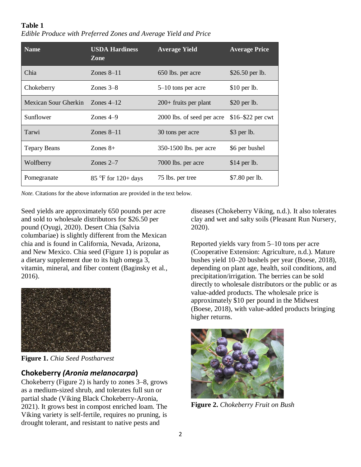| <b>Table 1</b><br>Edible Produce with Preferred Zones and Average Yield and Price |                       |                      |    |  |  |
|-----------------------------------------------------------------------------------|-----------------------|----------------------|----|--|--|
| Name <sup>®</sup>                                                                 | <b>USDA Hardiness</b> | <b>Average Yield</b> | A۱ |  |  |

| <b>Name</b>          | <b>USDA Hardiness</b><br>Zone | <b>Average Yield</b>       | <b>Average Price</b> |
|----------------------|-------------------------------|----------------------------|----------------------|
| Chia                 | Zones $8-11$                  | 650 lbs. per acre          | \$26.50 per lb.      |
| Chokeberry           | Zones $3-8$                   | $5-10$ tons per acre       | $$10$ per lb.        |
| Mexican Sour Gherkin | Zones $4-12$                  | $200+$ fruits per plant    | $$20$ per lb.        |
| Sunflower            | Zones $4-9$                   | 2000 lbs. of seed per acre | \$16-\$22 per cwt    |
| Tarwi                | Zones $8-11$                  | 30 tons per acre           | $$3$ per lb.         |
| <b>Tepary Beans</b>  | Zones $8+$                    | 350-1500 lbs. per acre     | \$6 per bushel       |
| Wolfberry            | Zones $2-7$                   | 7000 lbs. per acre         | $$14$ per lb.        |
| Pomegranate          | $85^{\circ}$ F for 120+ days  | 75 lbs. per tree           | \$7.80 per lb.       |

*Note.* Citations for the above information are provided in the text below.

Seed yields are approximately 650 pounds per acre and sold to wholesale distributors for \$26.50 per pound (Oyugi, 2020). Desert Chia (Salvia columbariae) is slightly different from the Mexican chia and is found in California, Nevada, Arizona, and New Mexico. Chia seed (Figure 1) is popular as a dietary supplement due to its high omega 3, vitamin, mineral, and fiber content (Baginsky et al., 2016).



**Figure 1.** *Chia Seed Postharvest*

#### **Chokeberry** *(Aronia melanocarpa***)**

Chokeberry (Figure 2) is hardy to zones 3–8, grows as a medium-sized shrub, and tolerates full sun or partial shade (Viking Black Chokeberry-Aronia, 2021). It grows best in compost enriched loam. The Viking variety is self-fertile, requires no pruning, is drought tolerant, and resistant to native pests and

diseases (Chokeberry Viking, n.d.). It also tolerates clay and wet and salty soils (Pleasant Run Nursery, 2020).

Reported yields vary from 5–10 tons per acre (Cooperative Extension: Agriculture, n.d.). Mature bushes yield 10–20 bushels per year (Boese, 2018), depending on plant age, health, soil conditions, and precipitation/irrigation. The berries can be sold directly to wholesale distributors or the public or as value-added products. The wholesale price is approximately \$10 per pound in the Midwest (Boese, 2018), with value-added products bringing higher returns.



**Figure 2.** *Chokeberry Fruit on Bush*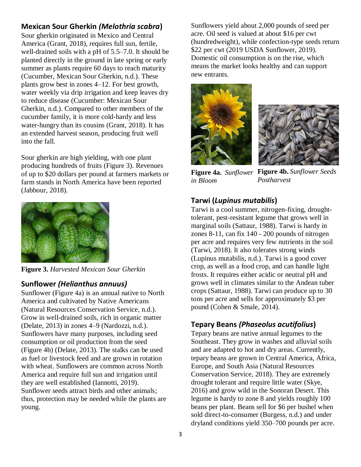#### **Mexican Sour Gherkin** *(Melothria scabra***)**

Sour gherkin originated in Mexico and Central America (Grant, 2018), requires full sun, fertile, well-drained soils with a pH of 5.5–7.0. It should be planted directly in the ground in late spring or early summer as plants require 60 days to reach maturity (Cucumber, Mexican Sour Gherkin, n.d.). These plants grow best in zones 4–12. For best growth, water weekly via drip irrigation and keep leaves dry to reduce disease (Cucumber: Mexican Sour Gherkin, n.d.). Compared to other members of the cucumber family, it is more cold-hardy and less water-hungry than its cousins (Grant, 2018). It has an extended harvest season, producing fruit well into the fall.

Sour gherkin are high yielding, with one plant producing hundreds of fruits (Figure 3). Revenues of up to \$20 dollars per pound at farmers markets or farm stands in North America have been reported (Jabbour, 2018).



**Figure 3.** *Harvested Mexican Sour Gherkin*

#### **Sunflower** *(Helianthus annuus)*

Sunflower (Figure 4a) is an annual native to North America and cultivated by Native Americans (Natural Resources Conservation Service, n.d.). Grow in well-drained soils, rich in organic matter (Delate, 2013) in zones 4–9 (Nardozzi, n.d.). Sunflowers have many purposes, including seed consumption or oil production from the seed (Figure 4b) (Delate, 2013). The stalks can be used as fuel or livestock feed and are grown in rotation with wheat. Sunflowers are common across North America and require full sun and irrigation until they are well established (Iannotti, 2019). Sunflower seeds attract birds and other animals; thus, protection may be needed while the plants are young.

Sunflowers yield about 2,000 pounds of seed per acre. Oil seed is valued at about \$16 per cwt (hundredweight), while confection-type seeds return \$22 per cwt (2019 USDA Sunflower, 2019). Domestic oil consumption is on the rise, which means the market looks healthy and can support new entrants.





**Figure 4a.** *Sunflower*  **Figure 4b.** *Sunflower Seeds in Bloom Postharvest*

## **Tarwi (***Lupinus mutabilis***)**

Tarwi is a cool summer, nitrogen-fixing, droughttolerant, pest-resistant legume that grows well in marginal soils (Sattaur, 1988). Tarwi is hardy in zones 8-11, can fix 140 - 200 pounds of nitrogen per acre and requires very few nutrients in the soil (Tarwi, 2018). It also tolerates strong winds (Lupinus mutabilis, n.d.). Tarwi is a good cover crop, as well as a food crop, and can handle light frosts. It requires either acidic or neutral pH and grows well in climates similar to the Andean tuber crops (Sattaur, 1988). Tarwi can produce up to 30 tons per acre and sells for approximately \$3 per pound (Cohen & Smale, 2014).

## **Tepary Beans** *(Phaseolus acutifolius***)**

Tepary beans are native annual legumes to the Southeast. They grow in washes and alluvial soils and are adapted to hot and dry areas. Currently, tepary beans are grown in Central America, Africa, Europe, and South Asia (Natural Resources Conservation Service, 2018). They are extremely drought tolerant and require little water (Skye, 2016) and grow wild in the Sonoran Desert. This legume is hardy to zone 8 and yields roughly 100 beans per plant. Beans sell for \$6 per bushel when sold direct-to-consumer (Burgess, n.d.) and under dryland conditions yield 350–700 pounds per acre.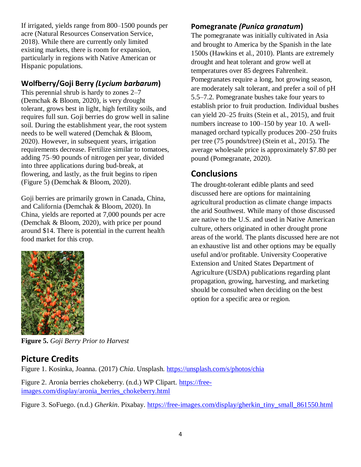If irrigated, yields range from 800–1500 pounds per acre (Natural Resources Conservation Service, 2018). While there are currently only limited existing markets, there is room for expansion, particularly in regions with Native American or Hispanic populations.

## **Wolfberry/Goji Berry** *(Lycium barbarum***)**

This perennial shrub is hardy to zones 2–7 (Demchak & Bloom, 2020), is very drought tolerant, grows best in light, high fertility soils, and requires full sun. Goji berries do grow well in saline soil. During the establishment year, the root system needs to be well watered (Demchak & Bloom, 2020). However, in subsequent years, irrigation requirements decrease. Fertilize similar to tomatoes, adding 75–90 pounds of nitrogen per year, divided into three applications during bud-break, at flowering, and lastly, as the fruit begins to ripen (Figure 5) (Demchak & Bloom, 2020).

Goji berries are primarily grown in Canada, China, and California (Demchak & Bloom, 2020). In China, yields are reported at 7,000 pounds per acre (Demchak & Bloom, 2020), with price per pound around \$14. There is potential in the current health food market for this crop.



**Figure 5.** *Goji Berry Prior to Harvest*

# **Picture Credits**

Figure 1. Kosinka, Joanna. (2017) *Chia*. Unsplash.<https://unsplash.com/s/photos/chia>

Figure 2. Aronia berries chokeberry. (n.d.) WP Clipart. [https://free](https://free-images.com/display/aronia_berries_chokeberry.html)[images.com/display/aronia\\_berries\\_chokeberry.html](https://free-images.com/display/aronia_berries_chokeberry.html)

Figure 3. SoFuego. (n.d.) *Gherkin*. Pixabay. [https://free-images.com/display/gherkin\\_tiny\\_small\\_861550.html](https://free-images.com/display/gherkin_tiny_small_861550.html)

#### **Pomegranate** *(Punica granatum***)**

The pomegranate was initially cultivated in Asia and brought to America by the Spanish in the late 1500s (Hawkins et al., 2010). Plants are extremely drought and heat tolerant and grow well at temperatures over 85 degrees Fahrenheit. Pomegranates require a long, hot growing season, are moderately salt tolerant, and prefer a soil of pH 5.5–7.2. Pomegranate bushes take four years to establish prior to fruit production. Individual bushes can yield 20–25 fruits (Stein et al., 2015), and fruit numbers increase to 100–150 by year 10. A wellmanaged orchard typically produces 200–250 fruits per tree (75 pounds/tree) (Stein et al., 2015). The average wholesale price is approximately \$7.80 per pound (Pomegranate, 2020).

# **Conclusions**

The drought-tolerant edible plants and seed discussed here are options for maintaining agricultural production as climate change impacts the arid Southwest. While many of those discussed are native to the U.S. and used in Native American culture, others originated in other drought prone areas of the world. The plants discussed here are not an exhaustive list and other options may be equally useful and/or profitable. University Cooperative Extension and United States Department of Agriculture (USDA) publications regarding plant propagation, growing, harvesting, and marketing should be consulted when deciding on the best option for a specific area or region.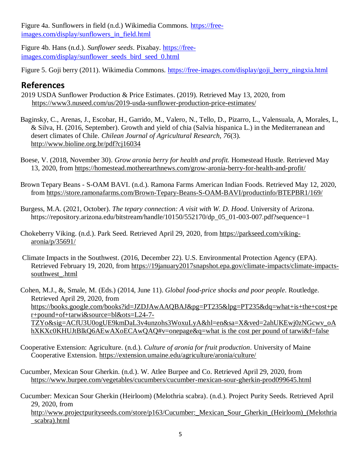Figure 4a. Sunflowers in field (n.d.) Wikimedia Commons. [https://free](https://free-images.com/display/sunflowers_in_field.html)[images.com/display/sunflowers\\_in\\_field.html](https://free-images.com/display/sunflowers_in_field.html)

Figure 4b. Hans (n.d.). *Sunflower seeds*. Pixabay. [https://free](https://free-images.com/display/sunflower_seeds_bird_seed_0.html)[images.com/display/sunflower\\_seeds\\_bird\\_seed\\_0.html](https://free-images.com/display/sunflower_seeds_bird_seed_0.html)

Figure 5. Goji berry (2011). Wikimedia Commons. [https://free-images.com/display/goji\\_berry\\_ningxia.html](https://free-images.com/display/goji_berry_ningxia.html)

# **References**

- 2019 USDA Sunflower Production & Price Estimates. (2019). Retrieved May 13, 2020, from <https://www3.nuseed.com/us/2019-usda-sunflower-production-price-estimates/>
- Baginsky, C., Arenas, J., Escobar, H., Garrido, M., Valero, N., Tello, D., Pizarro, L., Valensuala, A, Morales, L, & Silva, H. (2016, September). Growth and yield of chia (Salvia hispanica L.) in the Mediterranean and desert climates of Chile. *Chilean Journal of Agricultural Research, 76*(3). <http://www.bioline.org.br/pdf?cj16034>
- [Boese, V. \(2018, November 30\).](http://www.bioline.org.br/pdf?cj16034) *Grow aronia berry for health and profit.* Homestead Hustle. Retrieved May 13, 2020, from<https://homestead.motherearthnews.com/grow-aronia-berry-for-health-and-profit/>
- Brown Tepary Beans S-OAM BAVI. (n.d.). Ramona Farms American Indian Foods. Retrieved May 12, 2020, from<https://store.ramonafarms.com/Brown-Tepary-Beans-S-OAM-BAVI/productinfo/BTEPBR1/169/>

Burgess, M.A. (2021, October). *The tepary connection: A visit with W. D. Hood*. University of Arizona. [https://repository.arizona.edu/bitstream/handle/10150/552170/dp\\_05\\_01-003-007.pdf?sequence=1](https://repository.arizona.edu/bitstream/handle/10150/552170/dp_05_01-003-007.pdf?sequence=1Chokeberry%20Viking.%20(n.d.).%20Pa)

- [Chokeberry Viking. \(n.d.\). Par](https://repository.arizona.edu/bitstream/handle/10150/552170/dp_05_01-003-007.pdf?sequence=1Chokeberry%20Viking.%20(n.d.).%20Pa)k Seed. Retrieved April 29, 2020, from [https://parkseed.com/viking](https://parkseed.com/viking-aronia/p/35691/)[aronia/p/35691/](https://parkseed.com/viking-aronia/p/35691/)
- Climate Impacts in the Southwest. (2016, December 22). U.S. Environmental Protection Agency (EPA). Retrieved February 19, 2020, from [https://19january2017snapshot.epa.gov/climate-impacts/climate-impacts](https://19january2017snapshot.epa.gov/climate-impacts/climate-impacts-southwest_.html)[southwest\\_.html](https://19january2017snapshot.epa.gov/climate-impacts/climate-impacts-southwest_.html)

Cohen, M.J., &, Smale, M. (Eds.) (2014, June 11). *Global food-price shocks and poor people*. Routledge. Retrieved April 29, 2020, from [https://books.google.com/books?id=JZDJAwAAQBAJ&pg=PT235&lpg=PT235&dq=what+is+the+cost+pe](https://books.google.com/books?id=JZDJAwAAQBAJ&pg=PT235&lpg=PT235&dq=what+is+the+cost+per+pound+of+tarwi&source=bl&ots=L24-7-TZYo&sig=ACfU3U0ogUE9kmDaL3v4unzohs3WoxuLyA&hl=en&sa=X&ved=2ahUKEwj0zNGcwv_oAhXKXc0KHUJtBlkQ6AEwAXoECAwQAQ#v=onepage&q=what) [r+pound+of+tarwi&source=bl&ots=L24-7-](https://books.google.com/books?id=JZDJAwAAQBAJ&pg=PT235&lpg=PT235&dq=what+is+the+cost+per+pound+of+tarwi&source=bl&ots=L24-7-TZYo&sig=ACfU3U0ogUE9kmDaL3v4unzohs3WoxuLyA&hl=en&sa=X&ved=2ahUKEwj0zNGcwv_oAhXKXc0KHUJtBlkQ6AEwAXoECAwQAQ#v=onepage&q=what) [TZYo&sig=ACfU3U0ogUE9kmDaL3v4unzohs3WoxuLyA&hl=en&sa=X&ved=2ahUKEwj0zNGcwv\\_oA](https://books.google.com/books?id=JZDJAwAAQBAJ&pg=PT235&lpg=PT235&dq=what+is+the+cost+per+pound+of+tarwi&source=bl&ots=L24-7-TZYo&sig=ACfU3U0ogUE9kmDaL3v4unzohs3WoxuLyA&hl=en&sa=X&ved=2ahUKEwj0zNGcwv_oAhXKXc0KHUJtBlkQ6AEwAXoECAwQAQ#v=onepage&q=what) [hXKXc0KHUJtBlkQ6AEwAXoECAwQAQ#v=onepage&q=what](https://books.google.com/books?id=JZDJAwAAQBAJ&pg=PT235&lpg=PT235&dq=what+is+the+cost+per+pound+of+tarwi&source=bl&ots=L24-7-TZYo&sig=ACfU3U0ogUE9kmDaL3v4unzohs3WoxuLyA&hl=en&sa=X&ved=2ahUKEwj0zNGcwv_oAhXKXc0KHUJtBlkQ6AEwAXoECAwQAQ#v=onepage&q=what) is the cost per pound of tarwi&f=false

- Cooperative Extension: Agriculture. (n.d.). *Culture of aronia for fruit production*. University of Maine Cooperative Extension.<https://extension.umaine.edu/agriculture/aronia/culture/>
- Cucumber, Mexican Sour Gherkin. (n.d.). W. Atlee Burpee and Co. Retrieved April 29, 2020, from <https://www.burpee.com/vegetables/cucumbers/cucumber-mexican-sour-gherkin-prod099645.html>
- Cucumber: Mexican Sour Gherkin (Heirloom) (Melothria scabra). (n.d.). Project Purity Seeds. Retrieved April 29, 2020, from

http://www.projectpurityseeds.com/store/p163/Cucumber: Mexican Sour Gherkin (Heirloom) (Melothria [\\_scabra\).html](http://www.projectpurityseeds.com/store/p163/Cucumber:_Mexican_Sour_Gherkin_(Heirloom)_(Melothria_scabra).html)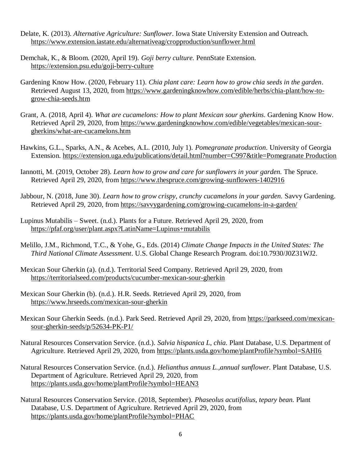- Delate, K. (2013). *Alternative Agriculture: Sunflower*. Iowa State University Extension and Outreach. <https://www.extension.iastate.edu/alternativeag/cropproduction/sunflower.html>
- Demchak, K., & Bloom. (2020, April 19). *Goji berry culture.* PennState Extension. <https://extension.psu.edu/goji-berry-culture>
- Gardening Know How. (2020, February 11). *Chia plant care: Learn how to grow chia seeds in the garden*. Retrieved August 13, 2020, from [https://www.gardeningknowhow.com/edible/herbs/chia-plant/how-to](https://www.gardeningknowhow.com/edible/herbs/chia-plant/how-to-grow-chia-seeds.htm)[grow-chia-seeds.htm](https://www.gardeningknowhow.com/edible/herbs/chia-plant/how-to-grow-chia-seeds.htm)
- Grant, A. (2018, April 4). *What are cucamelons: How to plant Mexican sour gherkins*. Gardening Know How. Retrieved April 29, 2020, from [https://www.gardeningknowhow.com/edible/vegetables/mexican-sour](https://www.gardeningknowhow.com/edible/vegetables/mexican-sour-gherkins/what-are-cucamelons.htm)[gherkins/what-are-cucamelons.htm](https://www.gardeningknowhow.com/edible/vegetables/mexican-sour-gherkins/what-are-cucamelons.htm)
- Hawkins, G.L., Sparks, A.N., & Acebes, A.L. (2010, July 1). *Pomegranate production*. University of Georgia Extension. https://extension.uga.edu/publications/detail.html?number=C997&title=Pomegranate Production
- Iannotti, M. (2019, October 28). *Learn how to grow and care for sunflowers in your garden.* The Spruce. Retrieved April 29, 2020, from<https://www.thespruce.com/growing-sunflowers-1402916>
- Jabbour, N. (2018, June 30). *Learn how to grow crispy, crunchy cucamelons in your garden.* Savvy Gardening. Retrieved April 29, 2020, from<https://savvygardening.com/growing-cucamelons-in-a-garden/>
- Lupinus Mutabilis Sweet. (n.d.). Plants for a Future. Retrieved April 29, 2020, from <https://pfaf.org/user/plant.aspx?LatinName=Lupinus+mutabilis>
- Melillo, J.M., Richmond, T.C., & Yohe, G., Eds. (2014) *Climate Change Impacts in the United States: The Third National Climate Assessment*. U.S. Global Change Research Program. doi:10.7930/J0Z31WJ2.
- Mexican Sour Gherkin (a). (n.d.). Territorial Seed Company. Retrieved April 29, 2020, from <https://territorialseed.com/products/cucumber-mexican-sour-gherkin>
- Mexican Sour Gherkin (b). (n.d.). H.R. Seeds. Retrieved April 29, 2020, from <https://www.hrseeds.com/mexican-sour-gherkin>
- Mexican Sour Gherkin Seeds. (n.d.). Park Seed. Retrieved April 29, 2020, from [https://parkseed.com/mexican](https://parkseed.com/mexican-sour-gherkin-seeds/p/52634-PK-P1/)[sour-gherkin-seeds/p/52634-PK-P1/](https://parkseed.com/mexican-sour-gherkin-seeds/p/52634-PK-P1/)
- Natural Resources Conservation Service. (n.d.). *Salvia hispanica L, chia.* Plant Database, U.S. Department of Agriculture. Retrieved April 29, 2020, from [https://plants.usda.gov/home/plantProfile?symbol=SAHI6](https://plants.usda.gov/home/plantProfile?symbol=SAHI6%20)
- Natural Resources Conservation Service. (n.d.). *Helianthus annuus L.,annual sunflower*. Plant Database, U.S. Department of Agriculture. Retrieved April 29, 2020, from <https://plants.usda.gov/home/plantProfile?symbol=HEAN3>
- Natural Resources Conservation Service. (2018, September). *Phaseolus acutifolius, tepary bean.* Plant Database, U.S. Department of Agriculture. Retrieved April 29, 2020, from <https://plants.usda.gov/home/plantProfile?symbol=PHAC>